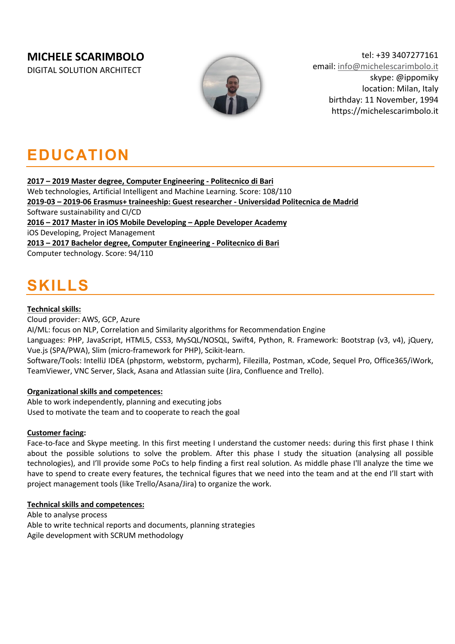### **MICHELE SCARIMBOLO**

DIGITAL SOLUTION ARCHITECT



tel: +39 3407277161 email: info@michelescarimbolo.it skype: @ippomiky location: Milan, Italy birthday: 11 November, 1994 https://michelescarimbolo.it

## **EDUCATION**

**2017 – 2019 Master degree, Computer Engineering - Politecnico di Bari**

Web technologies, Artificial Intelligent and Machine Learning. Score: 108/110 **2019-03 – 2019-06 Erasmus+ traineeship: Guest researcher - Universidad Politecnica de Madrid** Software sustainability and CI/CD **2016 – 2017 Master in iOS Mobile Developing – Apple Developer Academy** iOS Developing, Project Management **2013 – 2017 Bachelor degree, Computer Engineering - Politecnico di Bari** Computer technology. Score: 94/110

# **SKILLS**

#### **Technical skills:**

Cloud provider: AWS, GCP, Azure AI/ML: focus on NLP, Correlation and Similarity algorithms for Recommendation Engine Languages: PHP, JavaScript, HTML5, CSS3, MySQL/NOSQL, Swift4, Python, R. Framework: Bootstrap (v3, v4), jQuery, Vue.js (SPA/PWA), Slim (micro-framework for PHP), Scikit-learn. Software/Tools: IntelliJ IDEA (phpstorm, webstorm, pycharm), Filezilla, Postman, xCode, Sequel Pro, Office365/iWork, TeamViewer, VNC Server, Slack, Asana and Atlassian suite (Jira, Confluence and Trello).

### **Organizational skills and competences:**

Able to work independently, planning and executing jobs Used to motivate the team and to cooperate to reach the goal

#### **Customer facing:**

Face-to-face and Skype meeting. In this first meeting I understand the customer needs: during this first phase I think about the possible solutions to solve the problem. After this phase I study the situation (analysing all possible technologies), and I'll provide some PoCs to help finding a first real solution. As middle phase I'll analyze the time we have to spend to create every features, the technical figures that we need into the team and at the end I'll start with project management tools (like Trello/Asana/Jira) to organize the work.

#### **Technical skills and competences:**

Able to analyse process Able to write technical reports and documents, planning strategies Agile development with SCRUM methodology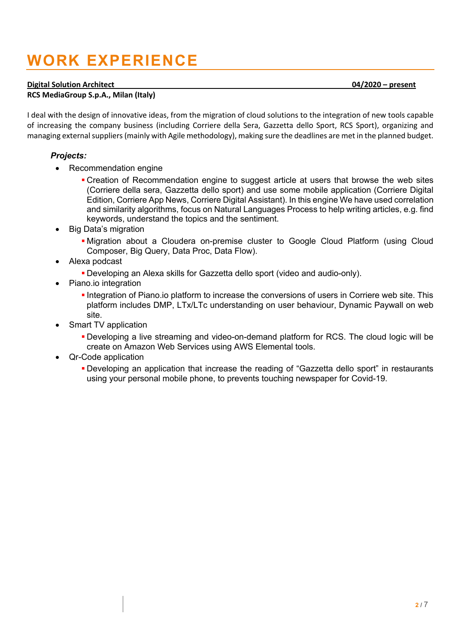# **WORK EXPERIENCE**

#### **Digital Solution Architect 04/2020 – present**

**RCS MediaGroup S.p.A., Milan (Italy)** 

I deal with the design of innovative ideas, from the migration of cloud solutions to the integration of new tools capable of increasing the company business (including Corriere della Sera, Gazzetta dello Sport, RCS Sport), organizing and managing external suppliers (mainly with Agile methodology), making sure the deadlines are met in the planned budget.

#### *Projects:*

- Recommendation engine
	- § Creation of Recommendation engine to suggest article at users that browse the web sites (Corriere della sera, Gazzetta dello sport) and use some mobile application (Corriere Digital Edition, Corriere App News, Corriere Digital Assistant). In this engine We have used correlation and similarity algorithms, focus on Natural Languages Process to help writing articles, e.g. find keywords, understand the topics and the sentiment.
- Big Data's migration
	- Migration about a Cloudera on-premise cluster to Google Cloud Platform (using Cloud Composer, Big Query, Data Proc, Data Flow).
- Alexa podcast
	- § Developing an Alexa skills for Gazzetta dello sport (video and audio-only).
- Piano.io integration
	- § Integration of Piano.io platform to increase the conversions of users in Corriere web site. This platform includes DMP, LTx/LTc understanding on user behaviour, Dynamic Paywall on web site.
- Smart TV application
	- § Developing a live streaming and video-on-demand platform for RCS. The cloud logic will be create on Amazon Web Services using AWS Elemental tools.
- Qr-Code application
	- § Developing an application that increase the reading of "Gazzetta dello sport" in restaurants using your personal mobile phone, to prevents touching newspaper for Covid-19.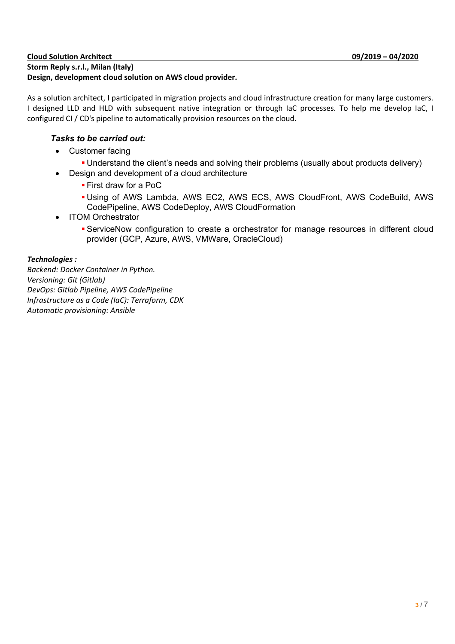#### **Cloud Solution Architect 09/2019 – 04/2020 Storm Reply s.r.l., Milan (Italy) Design, development cloud solution on AWS cloud provider.**

As a solution architect, I participated in migration projects and cloud infrastructure creation for many large customers. I designed LLD and HLD with subsequent native integration or through IaC processes. To help me develop IaC, I configured CI / CD's pipeline to automatically provision resources on the cloud.

### *Tasks to be carried out:*

- Customer facing
	- Understand the client's needs and solving their problems (usually about products delivery)
- Design and development of a cloud architecture
	- § First draw for a PoC
	- § Using of AWS Lambda, AWS EC2, AWS ECS, AWS CloudFront, AWS CodeBuild, AWS CodePipeline, AWS CodeDeploy, AWS CloudFormation
- ITOM Orchestrator
	- § ServiceNow configuration to create a orchestrator for manage resources in different cloud provider (GCP, Azure, AWS, VMWare, OracleCloud)

### *Technologies :*

*Backend: Docker Container in Python. Versioning: Git (Gitlab) DevOps: Gitlab Pipeline, AWS CodePipeline Infrastructure as a Code (IaC): Terraform, CDK Automatic provisioning: Ansible*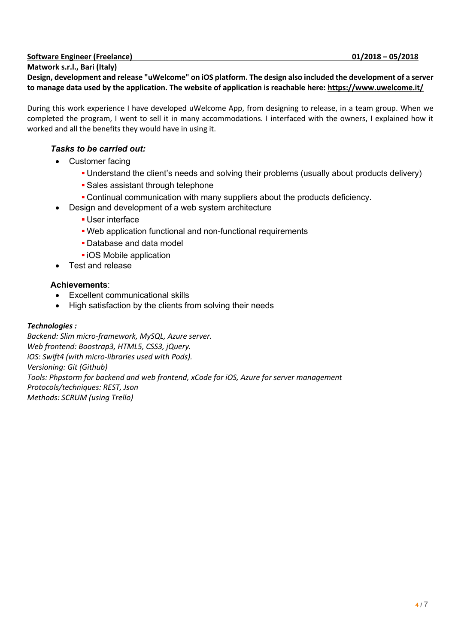### **Software Engineer (Freelance) 01/2018 – 05/2018**

**Matwork s.r.l., Bari (Italy) Design, development and release "uWelcome" on iOS platform. The design also included the development of a server to manage data used by the application. The website of application is reachable here: https://www.uwelcome.it/**

During this work experience I have developed uWelcome App, from designing to release, in a team group. When we completed the program, I went to sell it in many accommodations. I interfaced with the owners, I explained how it worked and all the benefits they would have in using it.

#### *Tasks to be carried out:*

- Customer facing
	- § Understand the client's needs and solving their problems (usually about products delivery)
	- Sales assistant through telephone
	- § Continual communication with many suppliers about the products deficiency.
- Design and development of a web system architecture
	- User interface
	- Web application functional and non-functional requirements
	- Database and data model
	- iOS Mobile application
- Test and release

#### **Achievements**:

- Excellent communicational skills
- High satisfaction by the clients from solving their needs

#### *Technologies :*

*Backend: Slim micro-framework, MySQL, Azure server. Web frontend: Boostrap3, HTML5, CSS3, jQuery. iOS: Swift4 (with micro-libraries used with Pods). Versioning: Git (Github) Tools: Phpstorm for backend and web frontend, xCode for iOS, Azure for server management Protocols/techniques: REST, Json Methods: SCRUM (using Trello)*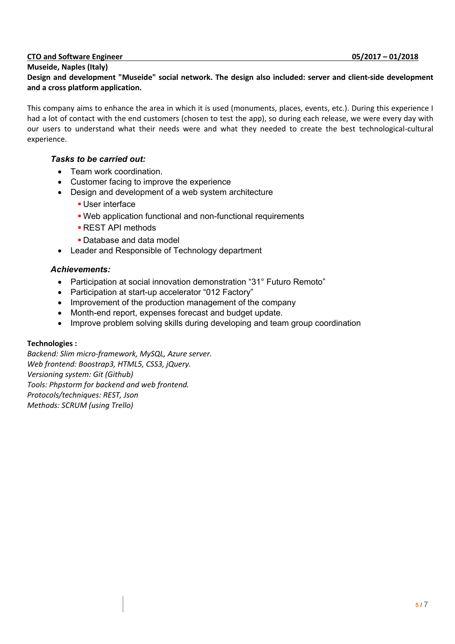#### **CTO and Software Engineer 05/2017 – 01/2018**

#### **Museide, Naples (Italy)**

#### **Design and development "Museide" social network. The design also included: server and client-side development and a cross platform application.**

This company aims to enhance the area in which it is used (monuments, places, events, etc.). During this experience I had a lot of contact with the end customers (chosen to test the app), so during each release, we were every day with our users to understand what their needs were and what they needed to create the best technological-cultural experience.

#### *Tasks to be carried out:*

- Team work coordination.
- Customer facing to improve the experience
- Design and development of a web system architecture
	- User interface
	- Web application functional and non-functional requirements
	- § REST API methods
	- § Database and data model
- Leader and Responsible of Technology department

#### *Achievements:*

- Participation at social innovation demonstration "31° Futuro Remoto"
- Participation at start-up accelerator "012 Factory"
- Improvement of the production management of the company
- Month-end report, expenses forecast and budget update.
- Improve problem solving skills during developing and team group coordination

#### **Technologies :**

*Backend: Slim micro-framework, MySQL, Azure server. Web frontend: Boostrap3, HTML5, CSS3, jQuery. Versioning system: Git (Github) Tools: Phpstorm for backend and web frontend. Protocols/techniques: REST, Json Methods: SCRUM (using Trello)*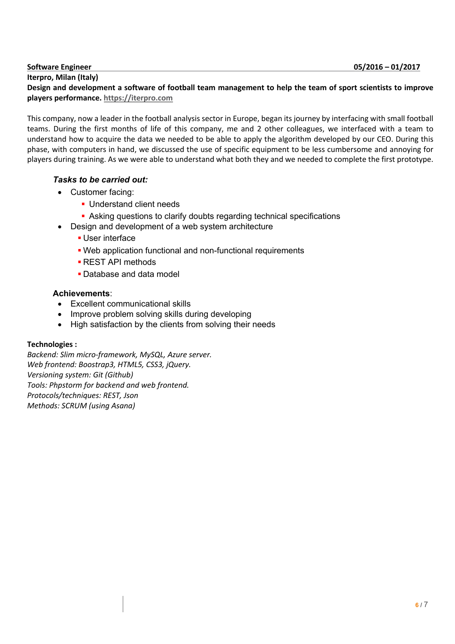#### **Iterpro, Milan (Italy)**

Design and development a software of football team management to help the team of sport scientists to improve **players performance. https://iterpro.com**

This company, now a leader in the football analysis sector in Europe, began its journey by interfacing with small football teams. During the first months of life of this company, me and 2 other colleagues, we interfaced with a team to understand how to acquire the data we needed to be able to apply the algorithm developed by our CEO. During this phase, with computers in hand, we discussed the use of specific equipment to be less cumbersome and annoying for players during training. As we were able to understand what both they and we needed to complete the first prototype.

#### *Tasks to be carried out:*

- Customer facing:
	- § Understand client needs
	- Asking questions to clarify doubts regarding technical specifications
- Design and development of a web system architecture
	- User interface
	- Web application functional and non-functional requirements
	- § REST API methods
	- § Database and data model

#### **Achievements**:

- Excellent communicational skills
- Improve problem solving skills during developing
- High satisfaction by the clients from solving their needs

#### **Technologies :**

*Backend: Slim micro-framework, MySQL, Azure server. Web frontend: Boostrap3, HTML5, CSS3, jQuery. Versioning system: Git (Github) Tools: Phpstorm for backend and web frontend. Protocols/techniques: REST, Json Methods: SCRUM (using Asana)*